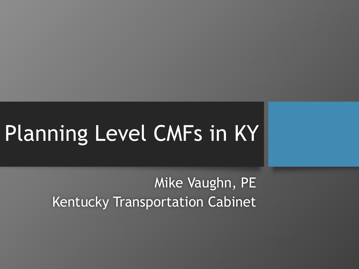# Planning Level CMFs in KY

Mike Vaughn, PE Kentucky Transportation Cabinet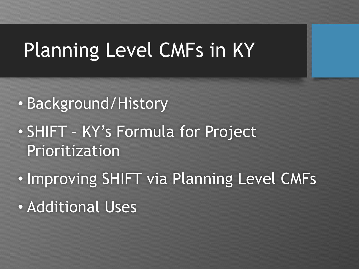## Planning Level CMFs in KY

- Background/History
- SHIFT KY's Formula for Project Prioritization
- Improving SHIFT via Planning Level CMFs
- Additional Uses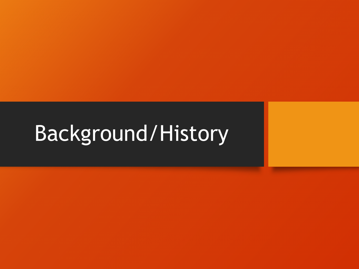# Background/History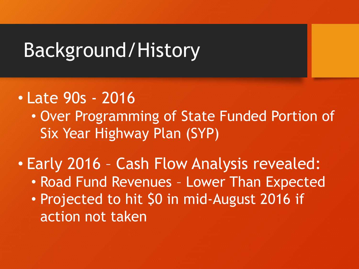### Background/History

- Late 90s 2016
	- Over Programming of State Funded Portion of Six Year Highway Plan (SYP)
- Early 2016 Cash Flow Analysis revealed:
	- Road Fund Revenues Lower Than Expected
	- Projected to hit \$0 in mid-August 2016 if action not taken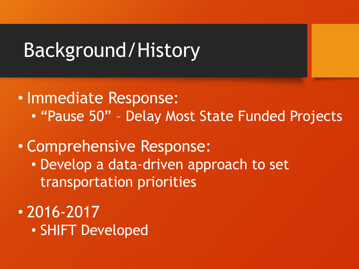### Background/History

- Immediate Response:
	- "Pause 50" Delay Most State Funded Projects
- Comprehensive Response:
	- Develop a data-driven approach to set transportation priorities
- 2016-2017
	- SHIFT Developed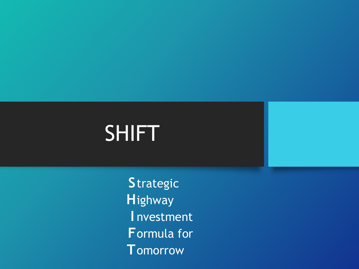**S**trategic **H**ighway **I** nvestment **F**ormula for **T**omorrow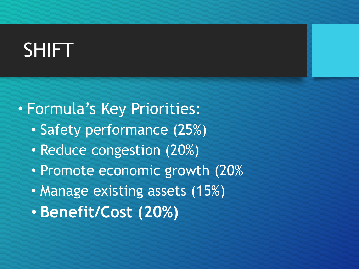#### • Formula's Key Priorities:

- Safety performance (25%)
- Reduce congestion (20%)
- Promote economic growth (20%
- Manage existing assets (15%)
- **Benefit/Cost (20%)**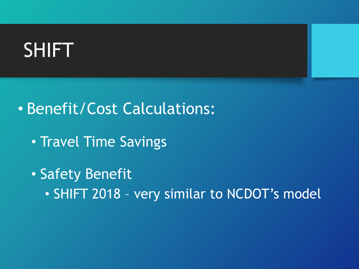- Benefit/Cost Calculations:
	- Travel Time Savings
	- Safety Benefit
		- SHIFT 2018 very similar to NCDOT's model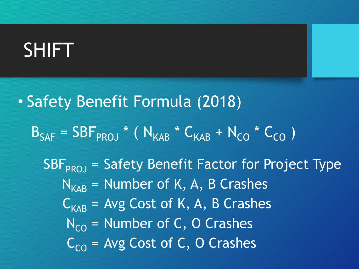• Safety Benefit Formula (2018)  $B_{SAF} = SBF_{PROJ} * (N_{KAR} * C_{KAR} + N_{CO} * C_{CO})$  $SBF<sub>PRO</sub>$  = Safety Benefit Factor for Project Type  $N_{KAR}$  = Number of K, A, B Crashes  $C_{KAR}$  = Avg Cost of K, A, B Crashes  $N_{\text{CO}}$  = Number of C, O Crashes  $C_{CO}$  = Avg Cost of C, O Crashes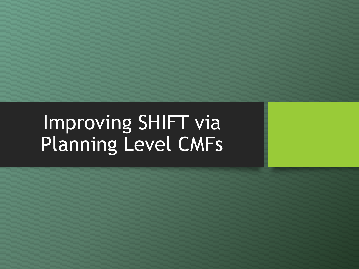# Improving SHIFT via Planning Level CMFs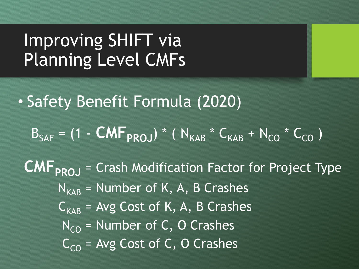### Improving SHIFT via Planning Level CMFs

• Safety Benefit Formula (2020)

 $B_{SAF} = (1 - CMF_{PROJ}) * (N_{KAB} * C_{KAB} + N_{CO} * C_{CO})$ 

**CMF<sub>PROJ</sub>** = Crash Modification Factor for Project Type  $N_{KAR}$  = Number of K, A, B Crashes  $C_{KAB}$  = Avg Cost of K, A, B Crashes  $N_{\text{CO}}$  = Number of C, O Crashes  $C_{\text{CO}}$  = Avg Cost of C, O Crashes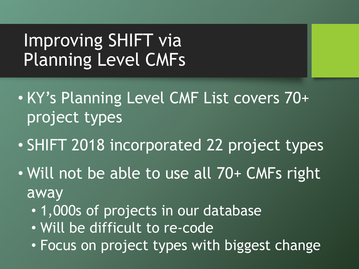### Improving SHIFT via Planning Level CMFs

- KY's Planning Level CMF List covers 70+ project types
- SHIFT 2018 incorporated 22 project types
- Will not be able to use all 70+ CMFs right away
	- 1,000s of projects in our database
	- Will be difficult to re-code
	- Focus on project types with biggest change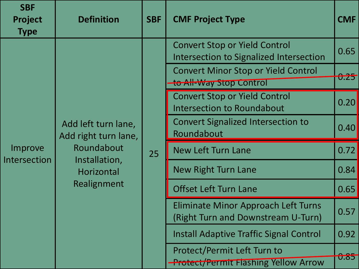| <b>SBF</b><br>Project<br><b>Type</b> | <b>Definition</b>                                                                                       | <b>SBF</b> | <b>CMF Project Type</b>                                                          | <b>CMF</b>  |
|--------------------------------------|---------------------------------------------------------------------------------------------------------|------------|----------------------------------------------------------------------------------|-------------|
| Improve<br>Intersection              | Add left turn lane,<br>Add right turn lane,<br>Roundabout<br>Installation,<br>Horizontal<br>Realignment | 25         | <b>Convert Stop or Yield Control</b><br>Intersection to Signalized Intersection  | 0.65        |
|                                      |                                                                                                         |            | <b>Convert Minor Stop or Yield Control</b><br>to All-Way Stop Control            | U.ZJ        |
|                                      |                                                                                                         |            | <b>Convert Stop or Yield Control</b><br><b>Intersection to Roundabout</b>        | 0.20        |
|                                      |                                                                                                         |            | <b>Convert Signalized Intersection to</b><br>Roundabout                          | 0.40        |
|                                      |                                                                                                         |            | <b>New Left Turn Lane</b>                                                        | 0.72        |
|                                      |                                                                                                         |            | <b>New Right Turn Lane</b>                                                       | 0.84        |
|                                      |                                                                                                         |            | <b>Offset Left Turn Lane</b>                                                     | 0.65        |
|                                      |                                                                                                         |            | <b>Eliminate Minor Approach Left Turns</b><br>(Right Turn and Downstream U-Turn) | 0.57        |
|                                      |                                                                                                         |            | <b>Install Adaptive Traffic Signal Control</b>                                   | 0.92        |
|                                      |                                                                                                         |            | Protect/Permit Left Turn to<br><b>Protect/Permit Flashing Yellow Arrow</b>       | <b>U.85</b> |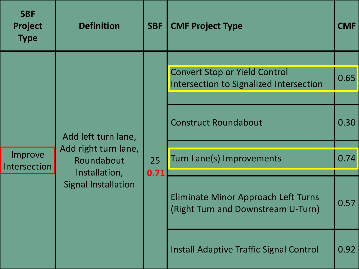| <b>SBF</b><br>Project<br><b>Type</b> | <b>Definition</b>                                                                                        | <b>SBF</b> | <b>CMF Project Type</b>                                                         | <b>CMF</b> |
|--------------------------------------|----------------------------------------------------------------------------------------------------------|------------|---------------------------------------------------------------------------------|------------|
| Improve<br>Intersection              | Add left turn lane,<br>Add right turn lane,<br>Roundabout<br>Installation,<br><b>Signal Installation</b> | 25<br>0.71 |                                                                                 |            |
|                                      |                                                                                                          |            | <b>Convert Stop or Yield Control</b><br>Intersection to Signalized Intersection | 0.65       |
|                                      |                                                                                                          |            |                                                                                 |            |
|                                      |                                                                                                          |            | <b>Construct Roundabout</b>                                                     | 0.30       |
|                                      |                                                                                                          |            |                                                                                 |            |
|                                      |                                                                                                          |            | Turn Lane(s) Improvements                                                       | 0.74       |
|                                      |                                                                                                          |            |                                                                                 |            |
|                                      |                                                                                                          |            | Eliminate Minor Approach Left Turns<br>(Right Turn and Downstream U-Turn)       | 0.57       |
|                                      |                                                                                                          |            | Install Adaptive Traffic Signal Control                                         | 0.92       |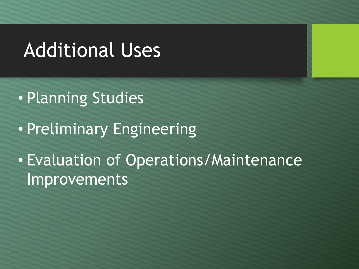### Additional Uses

- Planning Studies
- Preliminary Engineering
- Evaluation of Operations/Maintenance Improvements